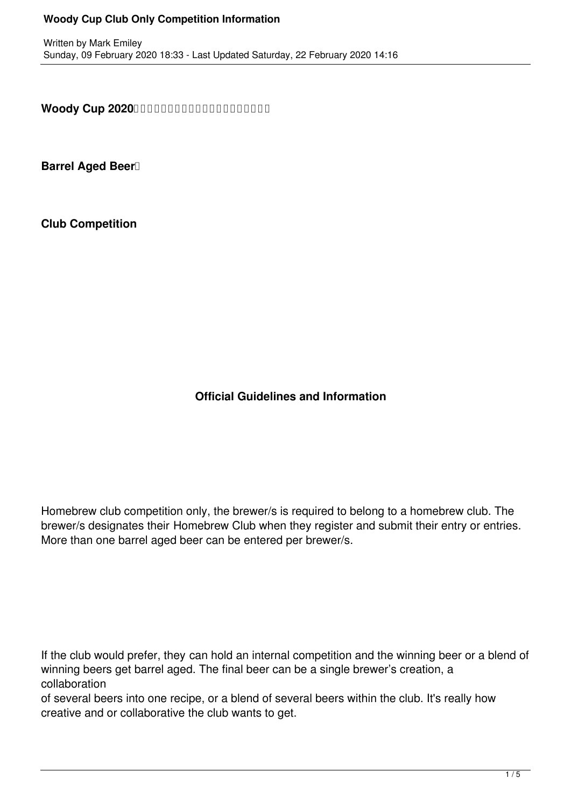## **Woody Cup Club Only Competition Information**

**Woody Cup 2020** 

**Barrel Aged Beer**<sup>1</sup>

**Club Competition**

**Official Guidelines and Information**

Homebrew club competition only, the brewer/s is required to belong to a homebrew club. The brewer/s designates their Homebrew Club when they register and submit their entry or entries. More than one barrel aged beer can be entered per brewer/s.

If the club would prefer, they can hold an internal competition and the winning beer or a blend of winning beers get barrel aged. The final beer can be a single brewer's creation, a collaboration

of several beers into one recipe, or a blend of several beers within the club. It's really how creative and or collaborative the club wants to get.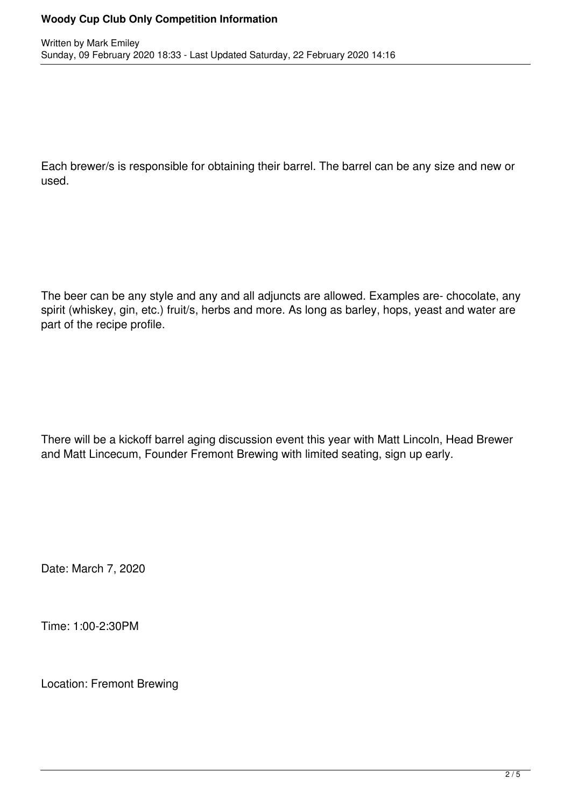## **Woody Cup Club Only Competition Information**

Each brewer/s is responsible for obtaining their barrel. The barrel can be any size and new or used.

The beer can be any style and any and all adjuncts are allowed. Examples are- chocolate, any spirit (whiskey, gin, etc.) fruit/s, herbs and more. As long as barley, hops, yeast and water are part of the recipe profile.

There will be a kickoff barrel aging discussion event this year with Matt Lincoln, Head Brewer and Matt Lincecum, Founder Fremont Brewing with limited seating, sign up early.

Date: March 7, 2020

Time: 1:00-2:30PM

Location: Fremont Brewing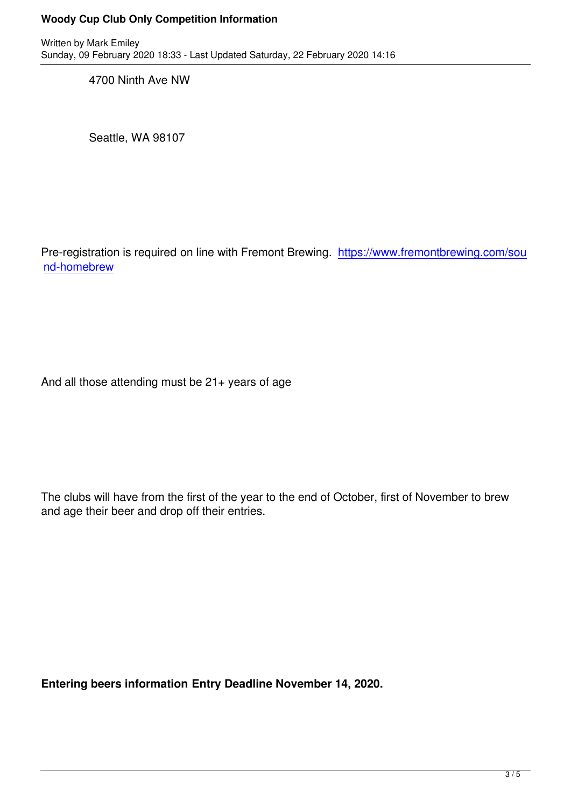4700 Ninth Ave NW

Seattle, WA 98107

Pre-registration is required on line with Fremont Brewing. https://www.fremontbrewing.com/sou nd-homebrew

And all those attending must be 21+ years of age

The clubs will have from the first of the year to the end of October, first of November to brew and age their beer and drop off their entries.

**Entering beers information Entry Deadline November 14, 2020.**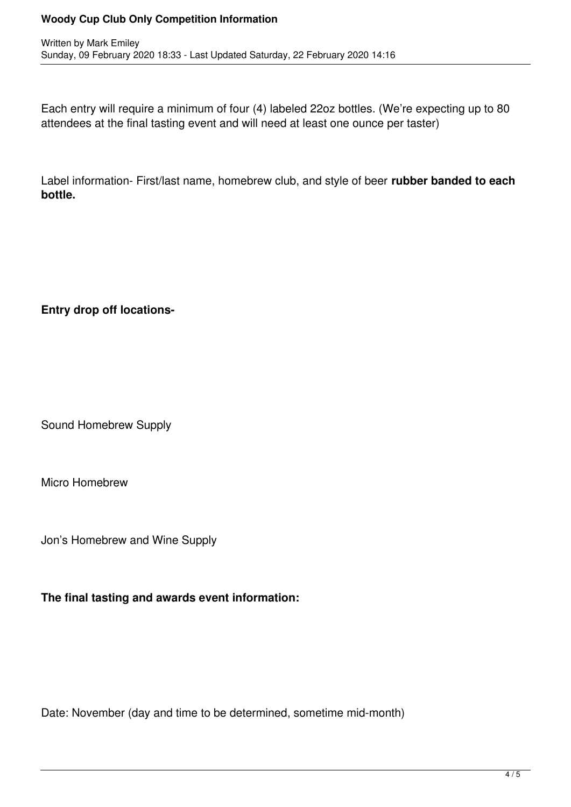## **Woody Cup Club Only Competition Information**

Each entry will require a minimum of four (4) labeled 22oz bottles. (We're expecting up to 80 attendees at the final tasting event and will need at least one ounce per taster)

Label information- First/last name, homebrew club, and style of beer **rubber banded to each bottle.** 

## **Entry drop off locations-**

Sound Homebrew Supply

Micro Homebrew

Jon's Homebrew and Wine Supply

**The final tasting and awards event information:**

Date: November (day and time to be determined, sometime mid-month)